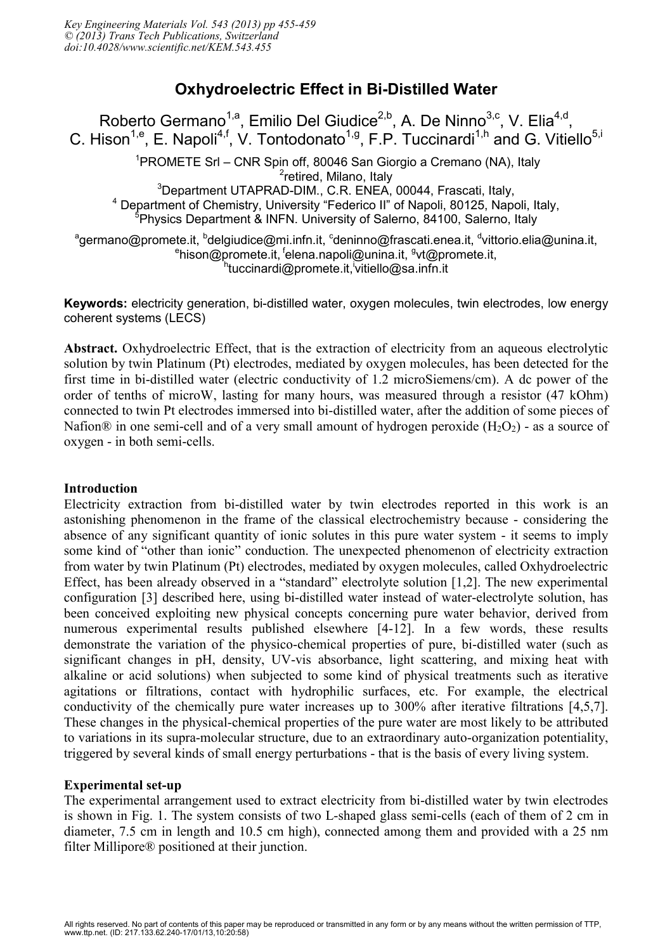# **Oxhydroelectric Effect in Bi-Distilled Water**

Roberto Germano<sup>1,a</sup>, Emilio Del Giudice<sup>2,b</sup>, A. De Ninno<sup>3,c</sup>, V. Elia<sup>4,d</sup>, C. Hison<sup>1,e</sup>, E. Napoli<sup>4,f</sup>, V. Tontodonato<sup>1,g</sup>, F.P. Tuccinardi<sup>1,h</sup> and G. Vitiello<sup>5,i</sup> <sup>1</sup>PROMETE Srl – CNR Spin off, 80046 San Giorgio a Cremano (NA), Italy <sup>2</sup>retired, Milano, Italy <sup>3</sup>Department UTAPRAD-DIM., C.R. ENEA, 00044, Frascati, Italy, <sup>4</sup> Department of Chemistry, University "Federico II" of Napoli, 80125, Napoli, Italy, <sup>5</sup>Physics Department & INFN. University of Salerno, 84100, Salerno, Italy agermano@promete.it, <sup>b</sup>delgiudice@mi.infn.it, <sup>c</sup>deninno@frascati.enea.it, <sup>d</sup>vittorio.elia@unina.it, <sup>e</sup>hison@promete.it, <sup>f</sup>elena.napoli@unina.it, <sup>g</sup>vt@promete.it, <sup>h</sup>tuccinardi@promete.it,<sup>i</sup>vitiello@sa.infn.it

**Keywords:** electricity generation, bi-distilled water, oxygen molecules, twin electrodes, low energy coherent systems (LECS)

**Abstract.** Oxhydroelectric Effect, that is the extraction of electricity from an aqueous electrolytic solution by twin Platinum (Pt) electrodes, mediated by oxygen molecules, has been detected for the first time in bi-distilled water (electric conductivity of 1.2 microSiemens/cm). A dc power of the order of tenths of microW, lasting for many hours, was measured through a resistor (47 kOhm) connected to twin Pt electrodes immersed into bi-distilled water, after the addition of some pieces of Nafion® in one semi-cell and of a very small amount of hydrogen peroxide  $(H_2O_2)$  - as a source of oxygen - in both semi-cells.

#### **Introduction**

Electricity extraction from bi-distilled water by twin electrodes reported in this work is an astonishing phenomenon in the frame of the classical electrochemistry because - considering the absence of any significant quantity of ionic solutes in this pure water system - it seems to imply some kind of "other than ionic" conduction. The unexpected phenomenon of electricity extraction from water by twin Platinum (Pt) electrodes, mediated by oxygen molecules, called Oxhydroelectric Effect, has been already observed in a "standard" electrolyte solution [1,2]. The new experimental configuration [3] described here, using bi-distilled water instead of water-electrolyte solution, has been conceived exploiting new physical concepts concerning pure water behavior, derived from numerous experimental results published elsewhere [4-12]. In a few words, these results demonstrate the variation of the physico-chemical properties of pure, bi-distilled water (such as significant changes in pH, density, UV-vis absorbance, light scattering, and mixing heat with alkaline or acid solutions) when subjected to some kind of physical treatments such as iterative agitations or filtrations, contact with hydrophilic surfaces, etc. For example, the electrical conductivity of the chemically pure water increases up to 300% after iterative filtrations [4,5,7]. These changes in the physical-chemical properties of the pure water are most likely to be attributed to variations in its supra-molecular structure, due to an extraordinary auto-organization potentiality, triggered by several kinds of small energy perturbations - that is the basis of every living system.

# **Experimental set-up**

The experimental arrangement used to extract electricity from bi-distilled water by twin electrodes is shown in Fig. 1. The system consists of two L-shaped glass semi-cells (each of them of 2 cm in diameter, 7.5 cm in length and 10.5 cm high), connected among them and provided with a 25 nm filter Millipore® positioned at their junction.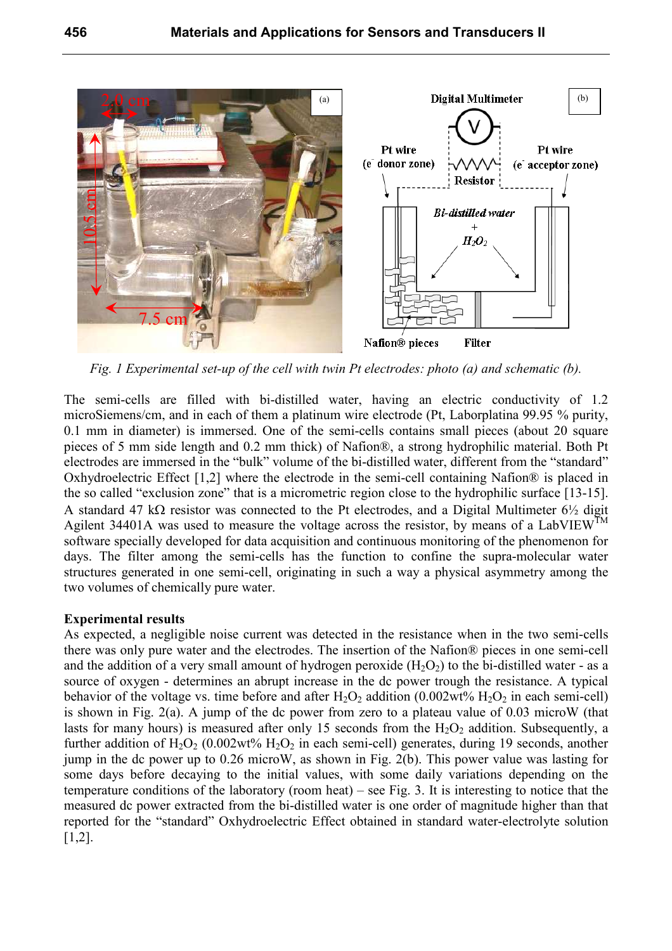

*Fig. 1 Experimental set-up of the cell with twin Pt electrodes: photo (a) and schematic (b).* 

The semi-cells are filled with bi-distilled water, having an electric conductivity of 1.2 microSiemens/cm, and in each of them a platinum wire electrode (Pt, Laborplatina 99.95 % purity, 0.1 mm in diameter) is immersed. One of the semi-cells contains small pieces (about 20 square pieces of 5 mm side length and 0.2 mm thick) of Nafion®, a strong hydrophilic material. Both Pt electrodes are immersed in the "bulk" volume of the bi-distilled water, different from the "standard" Oxhydroelectric Effect [1,2] where the electrode in the semi-cell containing Nafion® is placed in the so called "exclusion zone" that is a micrometric region close to the hydrophilic surface [13-15]. A standard 47 kΩ resistor was connected to the Pt electrodes, and a Digital Multimeter  $6\frac{1}{2}$  digit Agilent 34401A was used to measure the voltage across the resistor, by means of a LabVIEW<sup>TM</sup> software specially developed for data acquisition and continuous monitoring of the phenomenon for days. The filter among the semi-cells has the function to confine the supra-molecular water structures generated in one semi-cell, originating in such a way a physical asymmetry among the two volumes of chemically pure water.

#### **Experimental results**

As expected, a negligible noise current was detected in the resistance when in the two semi-cells there was only pure water and the electrodes. The insertion of the Nafion® pieces in one semi-cell and the addition of a very small amount of hydrogen peroxide  $(H_2O_2)$  to the bi-distilled water - as a source of oxygen - determines an abrupt increase in the dc power trough the resistance. A typical behavior of the voltage vs. time before and after  $H_2O_2$  addition (0.002wt%  $H_2O_2$  in each semi-cell) is shown in Fig. 2(a). A jump of the dc power from zero to a plateau value of 0.03 microW (that lasts for many hours) is measured after only 15 seconds from the  $H_2O_2$  addition. Subsequently, a further addition of  $H_2O_2$  (0.002wt%  $H_2O_2$  in each semi-cell) generates, during 19 seconds, another jump in the dc power up to 0.26 microW, as shown in Fig. 2(b). This power value was lasting for some days before decaying to the initial values, with some daily variations depending on the temperature conditions of the laboratory (room heat) – see Fig. 3. It is interesting to notice that the measured dc power extracted from the bi-distilled water is one order of magnitude higher than that reported for the "standard" Oxhydroelectric Effect obtained in standard water-electrolyte solution [1,2].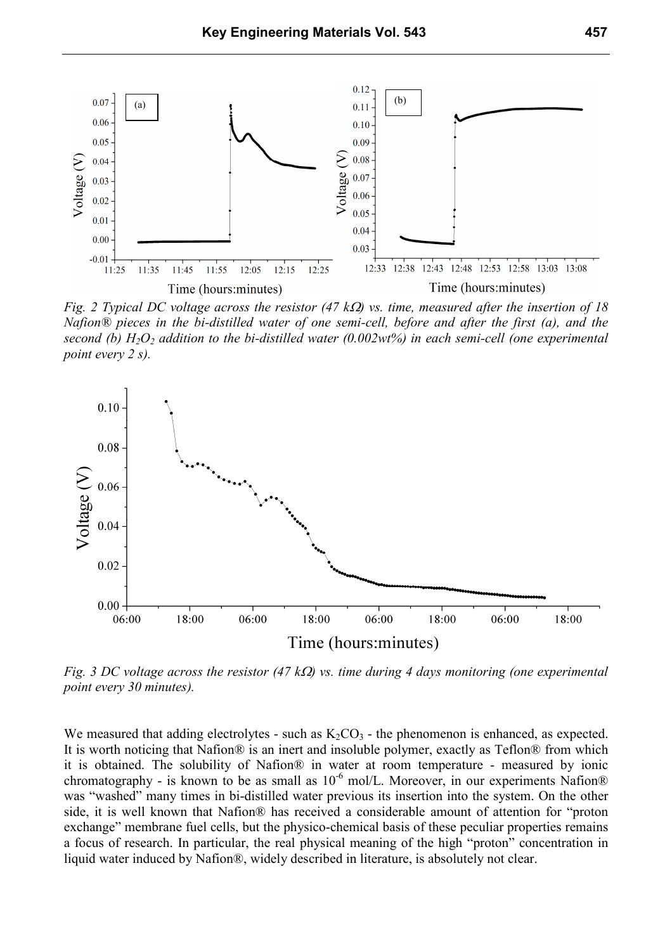

*Fig. 2 Typical DC voltage across the resistor (47 k*Ω*) vs. time, measured after the insertion of 18 Nafion® pieces in the bi-distilled water of one semi-cell, before and after the first (a), and the second (b) H2O2 addition to the bi-distilled water (0.002wt%) in each semi-cell (one experimental point every 2 s).* 



*Fig. 3 DC voltage across the resistor (47 k*Ω*) vs. time during 4 days monitoring (one experimental point every 30 minutes).* 

We measured that adding electrolytes - such as  $K_2CO_3$  - the phenomenon is enhanced, as expected. It is worth noticing that Nafion® is an inert and insoluble polymer, exactly as Teflon® from which it is obtained. The solubility of Nafion® in water at room temperature - measured by ionic chromatography - is known to be as small as  $10^{-6}$  mol/L. Moreover, in our experiments Nafion® was "washed" many times in bi-distilled water previous its insertion into the system. On the other side, it is well known that Nafion® has received a considerable amount of attention for "proton exchange" membrane fuel cells, but the physico-chemical basis of these peculiar properties remains a focus of research. In particular, the real physical meaning of the high "proton" concentration in liquid water induced by Nafion®, widely described in literature, is absolutely not clear.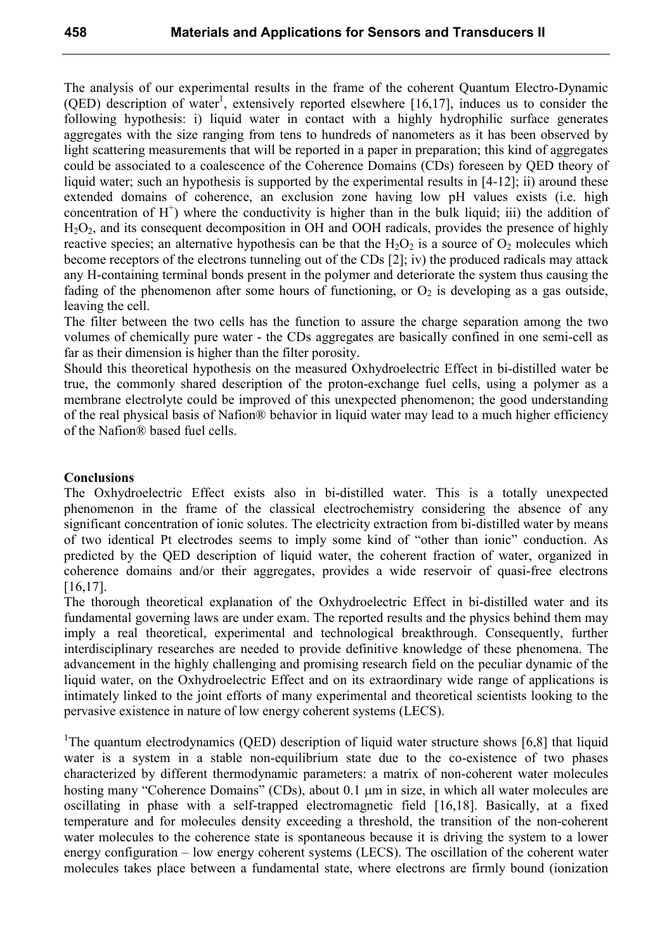The analysis of our experimental results in the frame of the coherent Quantum Electro-Dynamic (QED) description of water<sup>1</sup>, extensively reported elsewhere [16,17], induces us to consider the following hypothesis: i) liquid water in contact with a highly hydrophilic surface generates aggregates with the size ranging from tens to hundreds of nanometers as it has been observed by light scattering measurements that will be reported in a paper in preparation; this kind of aggregates could be associated to a coalescence of the Coherence Domains (CDs) foreseen by QED theory of liquid water; such an hypothesis is supported by the experimental results in [4-12]; ii) around these extended domains of coherence, an exclusion zone having low pH values exists (i.e. high concentration of  $H^+$ ) where the conductivity is higher than in the bulk liquid; iii) the addition of H2O2, and its consequent decomposition in OH and OOH radicals, provides the presence of highly reactive species; an alternative hypothesis can be that the  $H_2O_2$  is a source of  $O_2$  molecules which become receptors of the electrons tunneling out of the CDs [2]; iv) the produced radicals may attack any H-containing terminal bonds present in the polymer and deteriorate the system thus causing the fading of the phenomenon after some hours of functioning, or  $O_2$  is developing as a gas outside, leaving the cell.

The filter between the two cells has the function to assure the charge separation among the two volumes of chemically pure water - the CDs aggregates are basically confined in one semi-cell as far as their dimension is higher than the filter porosity.

Should this theoretical hypothesis on the measured Oxhydroelectric Effect in bi-distilled water be true, the commonly shared description of the proton-exchange fuel cells, using a polymer as a membrane electrolyte could be improved of this unexpected phenomenon; the good understanding of the real physical basis of Nafion® behavior in liquid water may lead to a much higher efficiency of the Nafion® based fuel cells.

## **Conclusions**

The Oxhydroelectric Effect exists also in bi-distilled water. This is a totally unexpected phenomenon in the frame of the classical electrochemistry considering the absence of any significant concentration of ionic solutes. The electricity extraction from bi-distilled water by means of two identical Pt electrodes seems to imply some kind of "other than ionic" conduction. As predicted by the QED description of liquid water, the coherent fraction of water, organized in coherence domains and/or their aggregates, provides a wide reservoir of quasi-free electrons [16,17].

The thorough theoretical explanation of the Oxhydroelectric Effect in bi-distilled water and its fundamental governing laws are under exam. The reported results and the physics behind them may imply a real theoretical, experimental and technological breakthrough. Consequently, further interdisciplinary researches are needed to provide definitive knowledge of these phenomena. The advancement in the highly challenging and promising research field on the peculiar dynamic of the liquid water, on the Oxhydroelectric Effect and on its extraordinary wide range of applications is intimately linked to the joint efforts of many experimental and theoretical scientists looking to the pervasive existence in nature of low energy coherent systems (LECS).

<sup>1</sup>The quantum electrodynamics (QED) description of liquid water structure shows [6,8] that liquid water is a system in a stable non-equilibrium state due to the co-existence of two phases characterized by different thermodynamic parameters: a matrix of non-coherent water molecules hosting many "Coherence Domains" (CDs), about 0.1  $\mu$ m in size, in which all water molecules are oscillating in phase with a self-trapped electromagnetic field [16,18]. Basically, at a fixed temperature and for molecules density exceeding a threshold, the transition of the non-coherent water molecules to the coherence state is spontaneous because it is driving the system to a lower energy configuration – low energy coherent systems (LECS). The oscillation of the coherent water molecules takes place between a fundamental state, where electrons are firmly bound (ionization